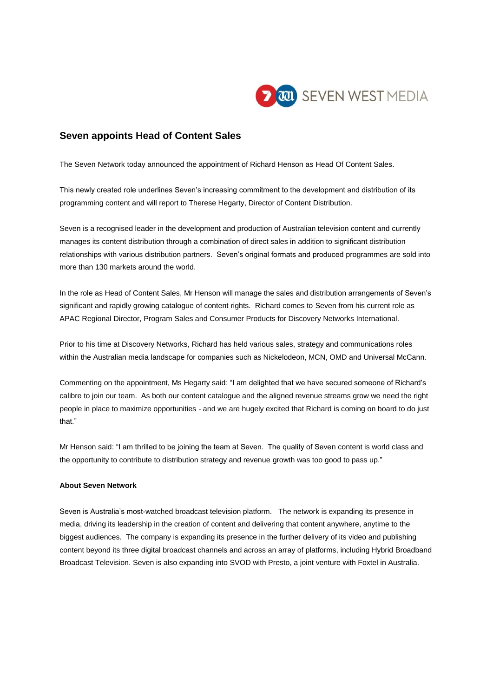

## **Seven appoints Head of Content Sales**

The Seven Network today announced the appointment of Richard Henson as Head Of Content Sales.

This newly created role underlines Seven's increasing commitment to the development and distribution of its programming content and will report to Therese Hegarty, Director of Content Distribution.

Seven is a recognised leader in the development and production of Australian television content and currently manages its content distribution through a combination of direct sales in addition to significant distribution relationships with various distribution partners. Seven's original formats and produced programmes are sold into more than 130 markets around the world.

In the role as Head of Content Sales, Mr Henson will manage the sales and distribution arrangements of Seven's significant and rapidly growing catalogue of content rights. Richard comes to Seven from his current role as APAC Regional Director, Program Sales and Consumer Products for Discovery Networks International.

Prior to his time at Discovery Networks, Richard has held various sales, strategy and communications roles within the Australian media landscape for companies such as Nickelodeon, MCN, OMD and Universal McCann.

Commenting on the appointment, Ms Hegarty said: "I am delighted that we have secured someone of Richard's calibre to join our team. As both our content catalogue and the aligned revenue streams grow we need the right people in place to maximize opportunities - and we are hugely excited that Richard is coming on board to do just that."

Mr Henson said: "I am thrilled to be joining the team at Seven. The quality of Seven content is world class and the opportunity to contribute to distribution strategy and revenue growth was too good to pass up."

## **About Seven Network**

Seven is Australia's most-watched broadcast television platform. The network is expanding its presence in media, driving its leadership in the creation of content and delivering that content anywhere, anytime to the biggest audiences. The company is expanding its presence in the further delivery of its video and publishing content beyond its three digital broadcast channels and across an array of platforms, including Hybrid Broadband Broadcast Television. Seven is also expanding into SVOD with Presto, a joint venture with Foxtel in Australia.